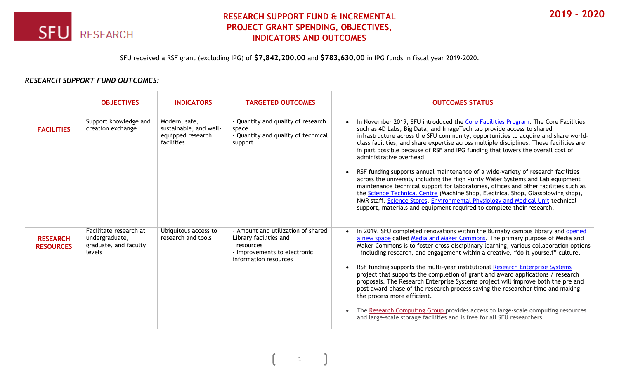

## **RESEARCH SUPPORT FUND & INCREMENTAL PROJECT GRANT SPENDING, OBJECTIVES, INDICATORS AND OUTCOMES**

SFU received a RSF grant (excluding IPG) of **\$7,842,200.00** and **\$783,630.00** in IPG funds in fiscal year 2019-2020.

## *RESEARCH SUPPORT FUND OUTCOMES:*

|                                     | <b>OBJECTIVES</b>                                                           | <b>INDICATORS</b>                                                          | <b>TARGETED OUTCOMES</b>                                                                                                           | <b>OUTCOMES STATUS</b>                                                                                                                                                                                                                                                                                                                                                                                                                                                                                                                                                                                                                                                                                                                                                                                                                                                                                                                                                  |
|-------------------------------------|-----------------------------------------------------------------------------|----------------------------------------------------------------------------|------------------------------------------------------------------------------------------------------------------------------------|-------------------------------------------------------------------------------------------------------------------------------------------------------------------------------------------------------------------------------------------------------------------------------------------------------------------------------------------------------------------------------------------------------------------------------------------------------------------------------------------------------------------------------------------------------------------------------------------------------------------------------------------------------------------------------------------------------------------------------------------------------------------------------------------------------------------------------------------------------------------------------------------------------------------------------------------------------------------------|
| <b>FACILITIES</b>                   | Support knowledge and<br>creation exchange                                  | Modern, safe,<br>sustainable, and well-<br>equipped research<br>facilities | - Quantity and quality of research<br>space<br>- Quantity and quality of technical<br>support                                      | In November 2019, SFU introduced the Core Facilities Program. The Core Facilities<br>such as 4D Labs, Big Data, and ImageTech lab provide access to shared<br>infrastructure across the SFU community, opportunities to acquire and share world-<br>class facilities, and share expertise across multiple disciplines. These facilities are<br>in part possible because of RSF and IPG funding that lowers the overall cost of<br>administrative overhead<br>RSF funding supports annual maintenance of a wide-variety of research facilities<br>across the university including the High Purity Water Systems and Lab equipment<br>maintenance technical support for laboratories, offices and other facilities such as<br>the Science Technical Centre (Machine Shop, Electrical Shop, Glassblowing shop),<br>NMR staff, Science Stores, Environmental Physiology and Medical Unit technical<br>support, materials and equipment required to complete their research. |
| <b>RESEARCH</b><br><b>RESOURCES</b> | Facilitate research at<br>undergraduate,<br>graduate, and faculty<br>levels | Ubiquitous access to<br>research and tools                                 | - Amount and utilization of shared<br>Library facilities and<br>resources<br>- Improvements to electronic<br>information resources | In 2019, SFU completed renovations within the Burnaby campus library and opened<br>a new space called Media and Maker Commons. The primary purpose of Media and<br>Maker Commons is to foster cross-disciplinary learning, various collaboration options<br>- including research, and engagement within a creative, "do it yourself" culture.<br>RSF funding supports the multi-year institutional Research Enterprise Systems<br>project that supports the completion of grant and award applications / research<br>proposals. The Research Enterprise Systems project will improve both the pre and<br>post award phase of the research process saving the researcher time and making<br>the process more efficient.<br>The Research Computing Group provides access to large-scale computing resources<br>and large-scale storage facilities and is free for all SFU researchers.                                                                                    |

1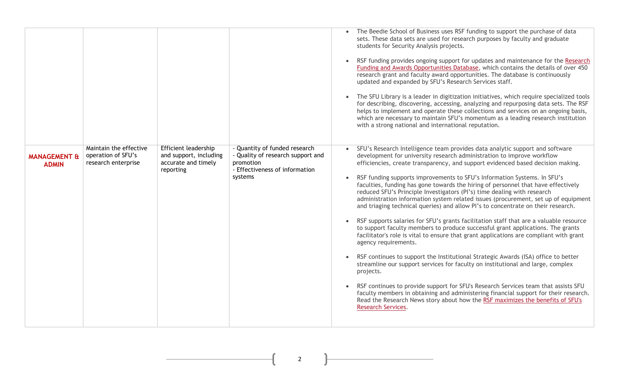|                                         |                                                                     |                                                                                           |                                                                                                                              | The Beedie School of Business uses RSF funding to support the purchase of data<br>sets. These data sets are used for research purposes by faculty and graduate<br>students for Security Analysis projects.<br>RSF funding provides ongoing support for updates and maintenance for the Research<br>$\bullet$<br>Funding and Awards Opportunities Database, which contains the details of over 450<br>research grant and faculty award opportunities. The database is continuously<br>updated and expanded by SFU's Research Services staff.<br>The SFU Library is a leader in digitization initiatives, which require specialized tools<br>for describing, discovering, accessing, analyzing and repurposing data sets. The RSF<br>helps to implement and operate these collections and services on an ongoing basis,<br>which are necessary to maintain SFU's momentum as a leading research institution<br>with a strong national and international reputation.                                                                                                                                                                                                                                                                                                                                                                                                                                                                                       |
|-----------------------------------------|---------------------------------------------------------------------|-------------------------------------------------------------------------------------------|------------------------------------------------------------------------------------------------------------------------------|---------------------------------------------------------------------------------------------------------------------------------------------------------------------------------------------------------------------------------------------------------------------------------------------------------------------------------------------------------------------------------------------------------------------------------------------------------------------------------------------------------------------------------------------------------------------------------------------------------------------------------------------------------------------------------------------------------------------------------------------------------------------------------------------------------------------------------------------------------------------------------------------------------------------------------------------------------------------------------------------------------------------------------------------------------------------------------------------------------------------------------------------------------------------------------------------------------------------------------------------------------------------------------------------------------------------------------------------------------------------------------------------------------------------------------------------------------|
| <b>MANAGEMENT &amp;</b><br><b>ADMIN</b> | Maintain the effective<br>operation of SFU's<br>research enterprise | <b>Efficient leadership</b><br>and support, including<br>accurate and timely<br>reporting | - Quantity of funded research<br>- Quality of research support and<br>promotion<br>- Effectiveness of information<br>systems | SFU's Research Intelligence team provides data analytic support and software<br>development for university research administration to improve workflow<br>efficiencies, create transparency, and support evidenced based decision making.<br>RSF funding supports improvements to SFU's Information Systems. In SFU's<br>faculties, funding has gone towards the hiring of personnel that have effectively<br>reduced SFU's Principle Investigators (PI's) time dealing with research<br>administration information system related issues (procurement, set up of equipment<br>and triaging technical queries) and allow PI's to concentrate on their research.<br>RSF supports salaries for SFU's grants facilitation staff that are a valuable resource<br>to support faculty members to produce successful grant applications. The grants<br>facilitator's role is vital to ensure that grant applications are compliant with grant<br>agency requirements.<br>RSF continues to support the Institutional Strategic Awards (ISA) office to better<br>streamline our support services for faculty on institutional and large, complex<br>projects.<br>RSF continues to provide support for SFU's Research Services team that assists SFU<br>$\bullet$<br>faculty members in obtaining and administering financial support for their research.<br>Read the Research News story about how the RSF maximizes the benefits of SFU's<br>Research Services. |

 $\begin{picture}(180,10) \put(0,0){\vector(1,0){100}} \put(15,0){\vector(1,0){100}} \put(15,0){\vector(1,0){100}} \put(15,0){\vector(1,0){100}} \put(15,0){\vector(1,0){100}} \put(15,0){\vector(1,0){100}} \put(15,0){\vector(1,0){100}} \put(15,0){\vector(1,0){100}} \put(15,0){\vector(1,0){100}} \put(15,0){\vector(1,0){100}} \put(15,0){\vector(1,0){100}}$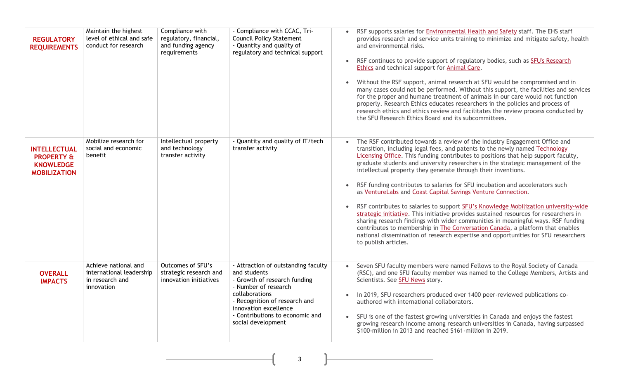| <b>REGULATORY</b><br><b>REQUIREMENTS</b>                                                | Maintain the highest<br>level of ethical and safe<br>conduct for research         | Compliance with<br>regulatory, financial,<br>and funding agency<br>requirements | - Compliance with CCAC, Tri-<br><b>Council Policy Statement</b><br>- Quantity and quality of<br>regulatory and technical support                                                                                                                 | RSF supports salaries for Environmental Health and Safety staff. The EHS staff<br>$\bullet$<br>provides research and service units training to minimize and mitigate safety, health<br>and environmental risks.<br>RSF continues to provide support of regulatory bodies, such as SFU's Research<br>$\bullet$<br>Ethics and technical support for Animal Care.<br>Without the RSF support, animal research at SFU would be compromised and in<br>many cases could not be performed. Without this support, the facilities and services<br>for the proper and humane treatment of animals in our care would not function<br>properly. Research Ethics educates researchers in the policies and process of<br>research ethics and ethics review and facilitates the review process conducted by<br>the SFU Research Ethics Board and its subcommittees.                                                                                                                                                                                             |
|-----------------------------------------------------------------------------------------|-----------------------------------------------------------------------------------|---------------------------------------------------------------------------------|--------------------------------------------------------------------------------------------------------------------------------------------------------------------------------------------------------------------------------------------------|--------------------------------------------------------------------------------------------------------------------------------------------------------------------------------------------------------------------------------------------------------------------------------------------------------------------------------------------------------------------------------------------------------------------------------------------------------------------------------------------------------------------------------------------------------------------------------------------------------------------------------------------------------------------------------------------------------------------------------------------------------------------------------------------------------------------------------------------------------------------------------------------------------------------------------------------------------------------------------------------------------------------------------------------------|
| <b>INTELLECTUAL</b><br><b>PROPERTY &amp;</b><br><b>KNOWLEDGE</b><br><b>MOBILIZATION</b> | Mobilize research for<br>social and economic<br>benefit                           | Intellectual property<br>and technology<br>transfer activity                    | - Quantity and quality of IT/tech<br>transfer activity                                                                                                                                                                                           | The RSF contributed towards a review of the Industry Engagement Office and<br>$\bullet$<br>transition, including legal fees, and patents to the newly named Technology<br>Licensing Office. This funding contributes to positions that help support faculty,<br>graduate students and university researchers in the strategic management of the<br>intellectual property they generate through their inventions.<br>RSF funding contributes to salaries for SFU incubation and accelerators such<br>$\bullet$<br>as VentureLabs and Coast Capital Savings Venture Connection.<br>RSF contributes to salaries to support SFU's Knowledge Mobilization university-wide<br>strategic initiative. This initiative provides sustained resources for researchers in<br>sharing research findings with wider communities in meaningful ways. RSF funding<br>contributes to membership in The Conversation Canada, a platform that enables<br>national dissemination of research expertise and opportunities for SFU researchers<br>to publish articles. |
| <b>OVERALL</b><br><b>IMPACTS</b>                                                        | Achieve national and<br>international leadership<br>in research and<br>innovation | Outcomes of SFU's<br>strategic research and<br>innovation initiatives           | - Attraction of outstanding faculty<br>and students<br>- Growth of research funding<br>- Number of research<br>collaborations<br>- Recognition of research and<br>innovation excellence<br>- Contributions to economic and<br>social development | Seven SFU faculty members were named Fellows to the Royal Society of Canada<br>(RSC), and one SFU faculty member was named to the College Members, Artists and<br>Scientists. See SFU News story.<br>In 2019, SFU researchers produced over 1400 peer-reviewed publications co-<br>authored with international collaborators.<br>SFU is one of the fastest growing universities in Canada and enjoys the fastest<br>$\bullet$<br>growing research income among research universities in Canada, having surpassed<br>\$100-million in 2013 and reached \$161-million in 2019.                                                                                                                                                                                                                                                                                                                                                                                                                                                                     |

 $\begin{array}{|c|c|c|c|}\n\hline\n\text{3} & \text{3} \\
\hline\n\end{array}$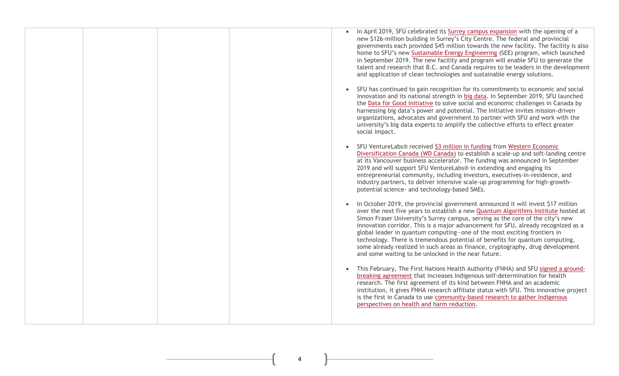| In April 2019, SFU celebrated its Surrey campus expansion with the opening of a<br>new \$126-million building in Surrey's City Centre. The federal and provincial<br>governments each provided \$45 million towards the new facility. The facility is also<br>home to SFU's new Sustainable Energy Engineering (SEE) program, which launched<br>in September 2019. The new facility and program will enable SFU to generate the<br>talent and research that B.C. and Canada requires to be leaders in the development<br>and application of clean technologies and sustainable energy solutions.                                                          |
|-----------------------------------------------------------------------------------------------------------------------------------------------------------------------------------------------------------------------------------------------------------------------------------------------------------------------------------------------------------------------------------------------------------------------------------------------------------------------------------------------------------------------------------------------------------------------------------------------------------------------------------------------------------|
| SFU has continued to gain recognition for its commitments to economic and social<br>innovation and its national strength in big data. In September 2019, SFU launched<br>the Data for Good Initiative to solve social and economic challenges in Canada by<br>harnessing big data's power and potential. The Initiative invites mission-driven<br>organizations, advocates and government to partner with SFU and work with the<br>university's big data experts to amplify the collective efforts to effect greater<br>social impact.                                                                                                                    |
| SFU VentureLabs® received \$3 million in funding from Western Economic<br>Diversification Canada (WD Canada) to establish a scale-up and soft-landing centre<br>at its Vancouver business accelerator. The funding was announced in September<br>2019 and will support SFU VentureLabs® in extending and engaging its<br>entrepreneurial community, including investors, executives-in-residence, and<br>industry partners, to deliver intensive scale-up programming for high-growth-<br>potential science- and technology-based SMEs.                                                                                                                   |
| In October 2019, the provincial government announced it will invest \$17 million<br>over the next five years to establish a new <b>Quantum Algorithms Institute</b> hosted at<br>Simon Fraser University's Surrey campus, serving as the core of the city's new<br>innovation corridor. This is a major advancement for SFU, already recognized as a<br>global leader in quantum computing-one of the most exciting frontiers in<br>technology. There is tremendous potential of benefits for quantum computing,<br>some already realized in such areas as finance, cryptography, drug development<br>and some waiting to be unlocked in the near future. |
| This February, The First Nations Health Authority (FNHA) and SFU signed a ground-<br>$\bullet$<br>breaking agreement that increases Indigenous self-determination for health<br>research. The first agreement of its kind between FNHA and an academic<br>institution, it gives FNHA research affiliate status with SFU. This innovative project<br>is the first in Canada to use community-based research to gather Indigenous<br>perspectives on health and harm reduction.                                                                                                                                                                             |

 $\begin{picture}(180,10) \put(0,0){\vector(1,0){100}} \put(15,0){\vector(1,0){100}} \put(15,0){\vector(1,0){100}} \put(15,0){\vector(1,0){100}} \put(15,0){\vector(1,0){100}} \put(15,0){\vector(1,0){100}} \put(15,0){\vector(1,0){100}} \put(15,0){\vector(1,0){100}} \put(15,0){\vector(1,0){100}} \put(15,0){\vector(1,0){100}} \put(15,0){\vector(1,0){100}}$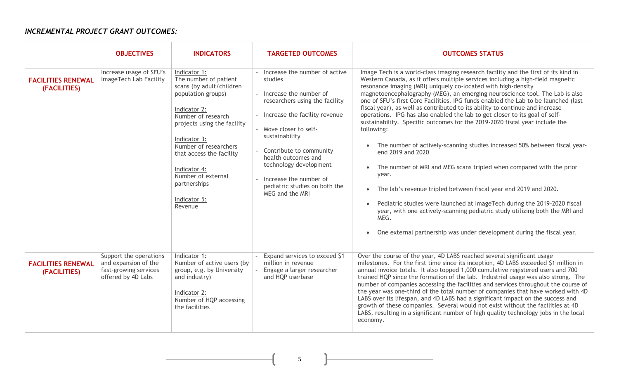## *INCREMENTAL PROJECT GRANT OUTCOMES:*

|                                           | <b>OBJECTIVES</b>                                                                             | <b>INDICATORS</b>                                                                                                                                                                                                                                                                                                  | <b>TARGETED OUTCOMES</b>                                                                                                                                                                                                                                                                                                                      | <b>OUTCOMES STATUS</b>                                                                                                                                                                                                                                                                                                                                                                                                                                                                                                                                                                                                                                                                                                                                                                                                                                                                                                                                                                                                                                                                                                                                                                                 |
|-------------------------------------------|-----------------------------------------------------------------------------------------------|--------------------------------------------------------------------------------------------------------------------------------------------------------------------------------------------------------------------------------------------------------------------------------------------------------------------|-----------------------------------------------------------------------------------------------------------------------------------------------------------------------------------------------------------------------------------------------------------------------------------------------------------------------------------------------|--------------------------------------------------------------------------------------------------------------------------------------------------------------------------------------------------------------------------------------------------------------------------------------------------------------------------------------------------------------------------------------------------------------------------------------------------------------------------------------------------------------------------------------------------------------------------------------------------------------------------------------------------------------------------------------------------------------------------------------------------------------------------------------------------------------------------------------------------------------------------------------------------------------------------------------------------------------------------------------------------------------------------------------------------------------------------------------------------------------------------------------------------------------------------------------------------------|
| <b>FACILITIES RENEWAL</b><br>(FACILITIES) | Increase usage of SFU's<br>ImageTech Lab Facility                                             | Indicator 1:<br>The number of patient<br>scans (by adult/children<br>population groups)<br>Indicator 2:<br>Number of research<br>projects using the facility<br>Indicator 3:<br>Number of researchers<br>that access the facility<br>Indicator 4:<br>Number of external<br>partnerships<br>Indicator 5:<br>Revenue | Increase the number of active<br>studies<br>- Increase the number of<br>researchers using the facility<br>Increase the facility revenue<br>- Move closer to self-<br>sustainability<br>Contribute to community<br>health outcomes and<br>technology development<br>Increase the number of<br>pediatric studies on both the<br>MEG and the MRI | Image Tech is a world-class imaging research facility and the first of its kind in<br>Western Canada, as it offers multiple services including a high-field magnetic<br>resonance imaging (MRI) uniquely co-located with high-density<br>magnetoencephalography (MEG), an emerging neuroscience tool. The Lab is also<br>one of SFU's first Core Facilities. IPG funds enabled the Lab to be launched (last<br>fiscal year), as well as contributed to its ability to continue and increase<br>operations. IPG has also enabled the lab to get closer to its goal of self-<br>sustainability. Specific outcomes for the 2019-2020 fiscal year include the<br>following:<br>The number of actively-scanning studies increased 50% between fiscal year-<br>end 2019 and 2020<br>The number of MRI and MEG scans tripled when compared with the prior<br>$\bullet$<br>year.<br>The lab's revenue tripled between fiscal year end 2019 and 2020.<br>$\bullet$<br>Pediatric studies were launched at ImageTech during the 2019-2020 fiscal<br>year, with one actively-scanning pediatric study utilizing both the MRI and<br>MEG.<br>One external partnership was under development during the fiscal year. |
| <b>FACILITIES RENEWAL</b><br>(FACILITIES) | Support the operations<br>and expansion of the<br>fast-growing services<br>offered by 4D Labs | Indicator 1:<br>Number of active users (by<br>group, e.g. by University<br>and industry)<br>Indicator 2:<br>Number of HQP accessing<br>the facilities                                                                                                                                                              | Expand services to exceed \$1<br>million in revenue<br>÷.<br>Engage a larger researcher<br>and HQP userbase                                                                                                                                                                                                                                   | Over the course of the year, 4D LABS reached several significant usage<br>milestones. For the first time since its inception, 4D LABS exceeded \$1 million in<br>annual invoice totals. It also topped 1,000 cumulative registered users and 700<br>trained HQP since the formation of the lab. Industrial usage was also strong. The<br>number of companies accessing the facilities and services throughout the course of<br>the year was one-third of the total number of companies that have worked with 4D<br>LABS over its lifespan, and 4D LABS had a significant impact on the success and<br>growth of these companies. Several would not exist without the facilities at 4D<br>LABS, resulting in a significant number of high quality technology jobs in the local<br>economy.                                                                                                                                                                                                                                                                                                                                                                                                              |

5